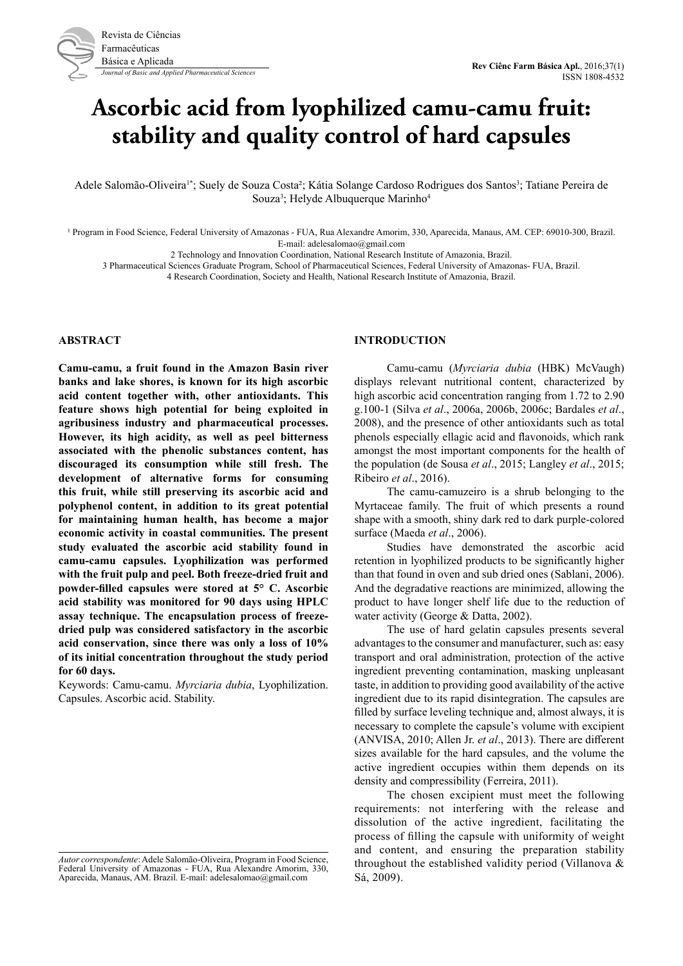# **Ascorbic acid from lyophilized camu-camu fruit: stability and quality control of hard capsules**

Adele Salomão-Oliveira<sup>1</sup>\*; Suely de Souza Costa<sup>2</sup>; Kátia Solange Cardoso Rodrigues dos Santos<sup>3</sup>; Tatiane Pereira de Souza<sup>3</sup>; Helyde Albuquerque Marinho<sup>4</sup>

<sup>1</sup> Program in Food Science, Federal University of Amazonas - FUA, Rua Alexandre Amorim, 330, Aparecida, Manaus, AM. CEP: 69010-300, Brazil. E-mail: adelesalomao@gmail.com

2 Technology and Innovation Coordination, National Research Institute of Amazonia, Brazil.

3 Pharmaceutical Sciences Graduate Program, School of Pharmaceutical Sciences, Federal University of Amazonas- FUA, Brazil.

4 Research Coordination, Society and Health, National Research Institute of Amazonia, Brazil.

#### **ABSTRACT**

**Camu-camu, a fruit found in the Amazon Basin river banks and lake shores, is known for its high ascorbic acid content together with, other antioxidants. This feature shows high potential for being exploited in agribusiness industry and pharmaceutical processes. However, its high acidity, as well as peel bitterness associated with the phenolic substances content, has discouraged its consumption while still fresh. The development of alternative forms for consuming this fruit, while still preserving its ascorbic acid and polyphenol content, in addition to its great potential for maintaining human health, has become a major economic activity in coastal communities. The present study evaluated the ascorbic acid stability found in camu-camu capsules. Lyophilization was performed with the fruit pulp and peel. Both freeze-dried fruit and powder-filled capsules were stored at 5° C. Ascorbic acid stability was monitored for 90 days using HPLC assay technique. The encapsulation process of freezedried pulp was considered satisfactory in the ascorbic acid conservation, since there was only a loss of 10% of its initial concentration throughout the study period for 60 days.** 

Keywords: Camu-camu. *Myrciaria dubia*, Lyophilization. Capsules. Ascorbic acid. Stability.

#### **INTRODUCTION**

Camu-camu (*Myrciaria dubia* (HBK) McVaugh) displays relevant nutritional content, characterized by high ascorbic acid concentration ranging from 1.72 to 2.90 g.100-1 (Silva *et al*., 2006a, 2006b, 2006c; Bardales *et al*., 2008), and the presence of other antioxidants such as total phenols especially ellagic acid and flavonoids, which rank amongst the most important components for the health of the population (de Sousa *et al*., 2015; Langley *et al*., 2015; Ribeiro *et al*., 2016).

The camu-camuzeiro is a shrub belonging to the Myrtaceae family. The fruit of which presents a round shape with a smooth, shiny dark red to dark purple-colored surface (Maeda *et al*., 2006).

Studies have demonstrated the ascorbic acid retention in lyophilized products to be significantly higher than that found in oven and sub dried ones (Sablani, 2006). And the degradative reactions are minimized, allowing the product to have longer shelf life due to the reduction of water activity (George & Datta, 2002).

The use of hard gelatin capsules presents several advantages to the consumer and manufacturer, such as: easy transport and oral administration, protection of the active ingredient preventing contamination, masking unpleasant taste, in addition to providing good availability of the active ingredient due to its rapid disintegration. The capsules are filled by surface leveling technique and, almost always, it is necessary to complete the capsule's volume with excipient (ANVISA, 2010; Allen Jr. *et al*., 2013). There are different sizes available for the hard capsules, and the volume the active ingredient occupies within them depends on its density and compressibility (Ferreira, 2011).

The chosen excipient must meet the following requirements: not interfering with the release and dissolution of the active ingredient, facilitating the process of filling the capsule with uniformity of weight and content, and ensuring the preparation stability throughout the established validity period (Villanova & Sá, 2009).

*Autor correspondente*: Adele Salomão-Oliveira, Program in Food Science, Federal University of Amazonas - FUA, Rua Alexandre Amorim, 330, Aparecida, Manaus, AM. Brazil. E-mail: adelesalomao@gmail.com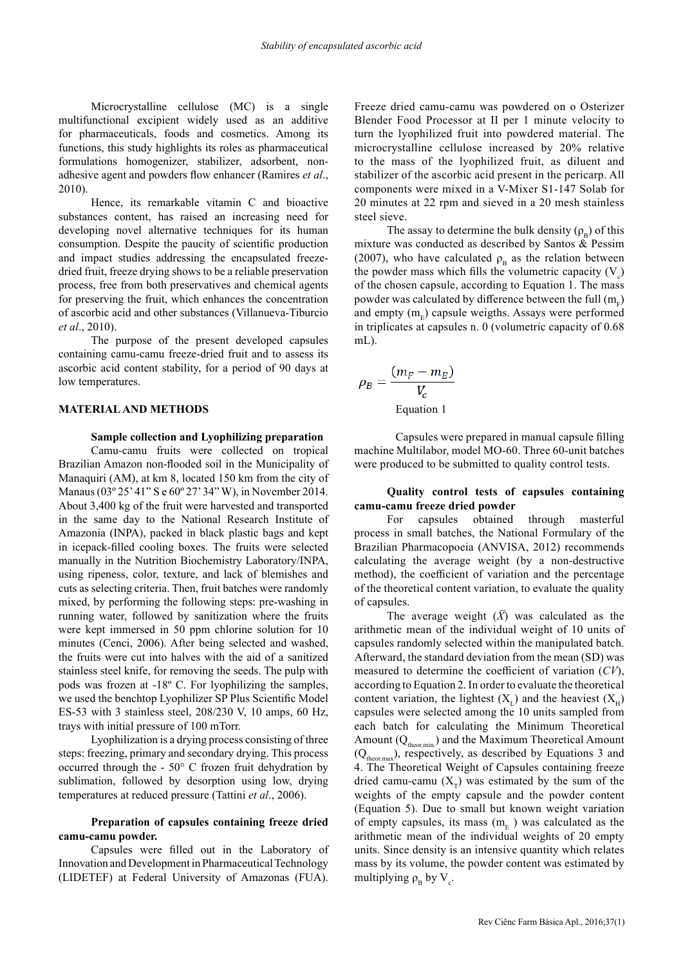Microcrystalline cellulose (MC) is a single multifunctional excipient widely used as an additive for pharmaceuticals, foods and cosmetics. Among its functions, this study highlights its roles as pharmaceutical formulations homogenizer, stabilizer, adsorbent, nonadhesive agent and powders flow enhancer (Ramires *et al*., 2010).

Hence, its remarkable vitamin C and bioactive substances content, has raised an increasing need for developing novel alternative techniques for its human consumption. Despite the paucity of scientific production and impact studies addressing the encapsulated freezedried fruit, freeze drying shows to be a reliable preservation process, free from both preservatives and chemical agents for preserving the fruit, which enhances the concentration of ascorbic acid and other substances (Villanueva-Tiburcio *et al*., 2010).

The purpose of the present developed capsules containing camu-camu freeze-dried fruit and to assess its ascorbic acid content stability, for a period of 90 days at low temperatures.

## **MATERIAL AND METHODS**

# **Sample collection and Lyophilizing preparation**

Camu-camu fruits were collected on tropical Brazilian Amazon non-flooded soil in the Municipality of Manaquiri (AM), at km 8, located 150 km from the city of Manaus (03° 25' 41" S e 60° 27' 34" W), in November 2014. About 3,400 kg of the fruit were harvested and transported in the same day to the National Research Institute of Amazonia (INPA), packed in black plastic bags and kept in icepack-filled cooling boxes. The fruits were selected manually in the Nutrition Biochemistry Laboratory/INPA, using ripeness, color, texture, and lack of blemishes and cuts as selecting criteria. Then, fruit batches were randomly mixed, by performing the following steps: pre-washing in running water, followed by sanitization where the fruits were kept immersed in 50 ppm chlorine solution for 10 minutes (Cenci, 2006). After being selected and washed, the fruits were cut into halves with the aid of a sanitized stainless steel knife, for removing the seeds. The pulp with pods was frozen at -18º C. For lyophilizing the samples, we used the benchtop Lyophilizer SP Plus Scientific Model ES-53 with 3 stainless steel, 208/230 V, 10 amps, 60 Hz, trays with initial pressure of 100 mTorr.

Lyophilization is a drying process consisting of three steps: freezing, primary and secondary drying. This process occurred through the - 50° C frozen fruit dehydration by sublimation, followed by desorption using low, drying temperatures at reduced pressure (Tattini *et al*., 2006).

# **Preparation of capsules containing freeze dried camu-camu powder.**

Capsules were filled out in the Laboratory of Innovation and Development in Pharmaceutical Technology (LIDETEF) at Federal University of Amazonas (FUA).

Freeze dried camu-camu was powdered on o Osterizer Blender Food Processor at II per 1 minute velocity to turn the lyophilized fruit into powdered material. The microcrystalline cellulose increased by 20% relative to the mass of the lyophilized fruit, as diluent and stabilizer of the ascorbic acid present in the pericarp. All components were mixed in a V-Mixer S1-147 Solab for 20 minutes at 22 rpm and sieved in a 20 mesh stainless steel sieve.

The assay to determine the bulk density  $(\rho_{\rm B})$  of this mixture was conducted as described by Santos & Pessim (2007), who have calculated  $\rho_B$  as the relation between the powder mass which fills the volumetric capacity  $(V_c)$ of the chosen capsule, according to Equation 1. The mass powder was calculated by difference between the full  $\rm (m_{_{F}})$ and empty  $(m<sub>n</sub>)$  capsule weigths. Assays were performed in triplicates at capsules n. 0 (volumetric capacity of 0.68 mL).

$$
\rho_B = \frac{(m_F - m_E)}{V_c}
$$
  
Equation 1

Capsules were prepared in manual capsule filling machine Multilabor, model MO-60. Three 60-unit batches were produced to be submitted to quality control tests.

## **Quality control tests of capsules containing camu-camu freeze dried powder**

For capsules obtained through masterful process in small batches, the National Formulary of the Brazilian Pharmacopoeia (ANVISA, 2012) recommends calculating the average weight (by a non-destructive method), the coefficient of variation and the percentage of the theoretical content variation, to evaluate the quality of capsules.

The average weight  $(\bar{X})$  was calculated as the arithmetic mean of the individual weight of 10 units of capsules randomly selected within the manipulated batch. Afterward, the standard deviation from the mean (SD) was measured to determine the coefficient of variation (*CV*), according to Equation 2. In order to evaluate the theoretical content variation, the lightest  $(X<sub>r</sub>)$  and the heaviest  $(X<sub>r</sub>)$ capsules were selected among the 10 units sampled from each batch for calculating the Minimum Theoretical Amount  $(Q_{\text{theorem}})$  and the Maximum Theoretical Amount  $(Q<sub>theor max</sub>)$ , respectively, as described by Equations 3 and 4. The Theoretical Weight of Capsules containing freeze dried camu-camu  $(X_T)$  was estimated by the sum of the weights of the empty capsule and the powder content (Equation 5). Due to small but known weight variation of empty capsules, its mass  $(m<sub>c</sub>)$  was calculated as the arithmetic mean of the individual weights of 20 empty units. Since density is an intensive quantity which relates mass by its volume, the powder content was estimated by multiplying  $\rho_B$  by V<sub>c</sub>.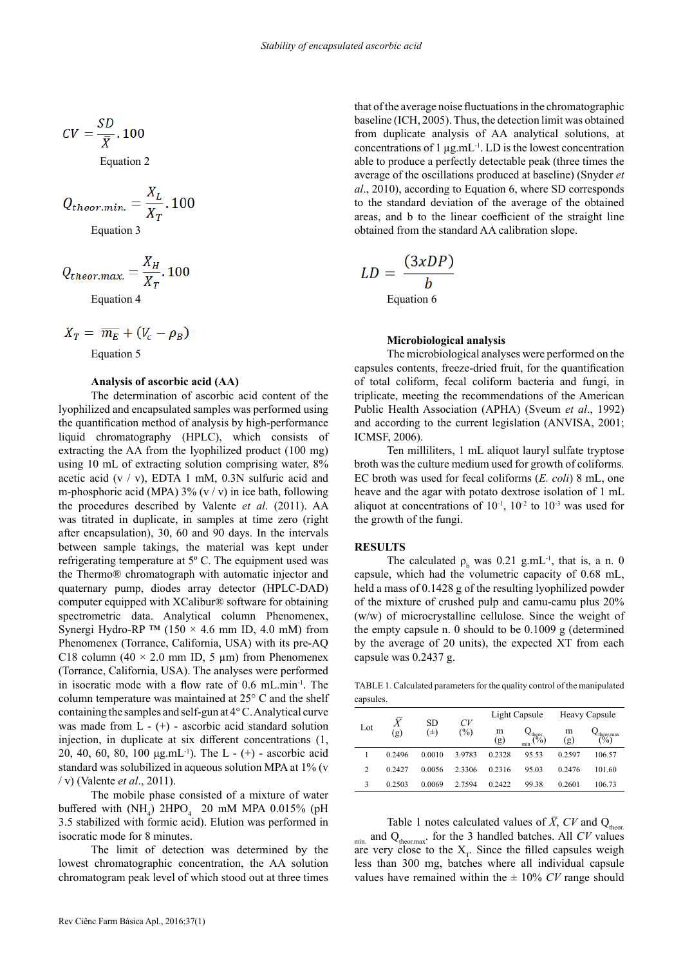$$
CV = \frac{SD}{\overline{X}}.100
$$

Equation 2

$$
Q_{theor.min.} = \frac{X_L}{X_T} \cdot 100
$$
  
Equation 3

 $\overline{\mathbf{v}}$ 

$$
Q_{theor.max.} = \frac{\Lambda_H}{X_T}.100
$$

Equation 4

$$
X_T = \overline{m_E} + (V_c - \rho_B)
$$

Equation 5

#### **Analysis of ascorbic acid (AA)**

The determination of ascorbic acid content of the lyophilized and encapsulated samples was performed using the quantification method of analysis by high-performance liquid chromatography (HPLC), which consists of extracting the AA from the lyophilized product (100 mg) using 10 mL of extracting solution comprising water, 8% acetic acid  $(v / v)$ , EDTA 1 mM, 0.3N sulfuric acid and m-phosphoric acid (MPA)  $3\%$  (v / v) in ice bath, following the procedures described by Valente *et al*. (2011). AA was titrated in duplicate, in samples at time zero (right after encapsulation), 30, 60 and 90 days. In the intervals between sample takings, the material was kept under refrigerating temperature at 5º C. The equipment used was the Thermo® chromatograph with automatic injector and quaternary pump, diodes array detector (HPLC-DAD) computer equipped with XCalibur® software for obtaining spectrometric data. Analytical column Phenomenex, Synergi Hydro-RP <sup>™</sup> (150  $\times$  4.6 mm ID, 4.0 mM) from Phenomenex (Torrance, California, USA) with its pre-AQ C18 column (40  $\times$  2.0 mm ID, 5 µm) from Phenomenex (Torrance, California, USA). The analyses were performed in isocratic mode with a flow rate of 0.6 mL.min-1. The column temperature was maintained at 25° C and the shelf containing the samples and self-gun at 4° C. Analytical curve was made from  $L - (+)$  - ascorbic acid standard solution injection, in duplicate at six different concentrations (1, 20, 40, 60, 80, 100  $\mu$ g.mL<sup>-1</sup>). The L - (+) - ascorbic acid standard was solubilized in aqueous solution MPA at 1% (v / v) (Valente *et al*., 2011).

The mobile phase consisted of a mixture of water buffered with  $(NH_4)$  2HPO<sub>4</sub> 20 mM MPA 0.015% (pH 3.5 stabilized with formic acid). Elution was performed in isocratic mode for 8 minutes.

The limit of detection was determined by the lowest chromatographic concentration, the AA solution chromatogram peak level of which stood out at three times

that of the average noise fluctuations in the chromatographic baseline (ICH, 2005). Thus, the detection limit was obtained from duplicate analysis of AA analytical solutions, at concentrations of 1  $\mu$ g.mL<sup>-1</sup>. LD is the lowest concentration able to produce a perfectly detectable peak (three times the average of the oscillations produced at baseline) (Snyder *et al*., 2010), according to Equation 6, where SD corresponds to the standard deviation of the average of the obtained areas, and b to the linear coefficient of the straight line obtained from the standard AA calibration slope.

$$
LD = \frac{(3xDP)}{b}
$$
  
Equation 6

#### **Microbiological analysis**

The microbiological analyses were performed on the capsules contents, freeze-dried fruit, for the quantification of total coliform, fecal coliform bacteria and fungi, in triplicate, meeting the recommendations of the American Public Health Association (APHA) (Sveum *et al*., 1992) and according to the current legislation (ANVISA, 2001; ICMSF, 2006).

Ten milliliters, 1 mL aliquot lauryl sulfate tryptose broth was the culture medium used for growth of coliforms. EC broth was used for fecal coliforms (*E. coli*) 8 mL, one heave and the agar with potato dextrose isolation of 1 mL aliquot at concentrations of  $10^{-1}$ ,  $10^{-2}$  to  $10^{-3}$  was used for the growth of the fungi.

#### **RESULTS**

The calculated  $\rho_b$  was 0.21 g.mL<sup>-1</sup>, that is, a n. 0 capsule, which had the volumetric capacity of 0.68 mL, held a mass of 0.1428 g of the resulting lyophilized powder of the mixture of crushed pulp and camu-camu plus 20% (w/w) of microcrystalline cellulose. Since the weight of the empty capsule n. 0 should to be 0.1009 g (determined by the average of 20 units), the expected XT from each capsule was 0.2437 g.

TABLE 1. Calculated parameters for the quality control of the manipulated capsules.

| Lot            | $\bar{X}$<br>(g) | SD.<br>$(\pm)$ | CV<br>(%) | Light Capsule |                                | Heavy Capsule |                       |
|----------------|------------------|----------------|-----------|---------------|--------------------------------|---------------|-----------------------|
|                |                  |                |           | m<br>(g)      | $\psi_{\text{top}}^{t}$<br>min | m<br>(g)      | $\binom{theormax}{0}$ |
|                | 0.2496           | 0.0010         | 3.9783    | 0.2328        | 95.53                          | 0.2597        | 106.57                |
| $\overline{c}$ | 0.2427           | 0.0056         | 2.3306    | 0.2316        | 95.03                          | 0.2476        | 101.60                |
| 3              | 0.2503           | 0.0069         | 2.7594    | 0.2422        | 99.38                          | 0.2601        | 106.73                |

Table 1 notes calculated values of  $\overline{X}$ ,  $CV$  and Q<sub>theor</sub>.  $_{min.}$  and  $Q_{\text{theor,max}}$ . for the 3 handled batches. All *CV* values are very close to the  $X_T$ . Since the filled capsules weigh less than 300 mg, batches where all individual capsule values have remained within the  $\pm$  10% *CV* range should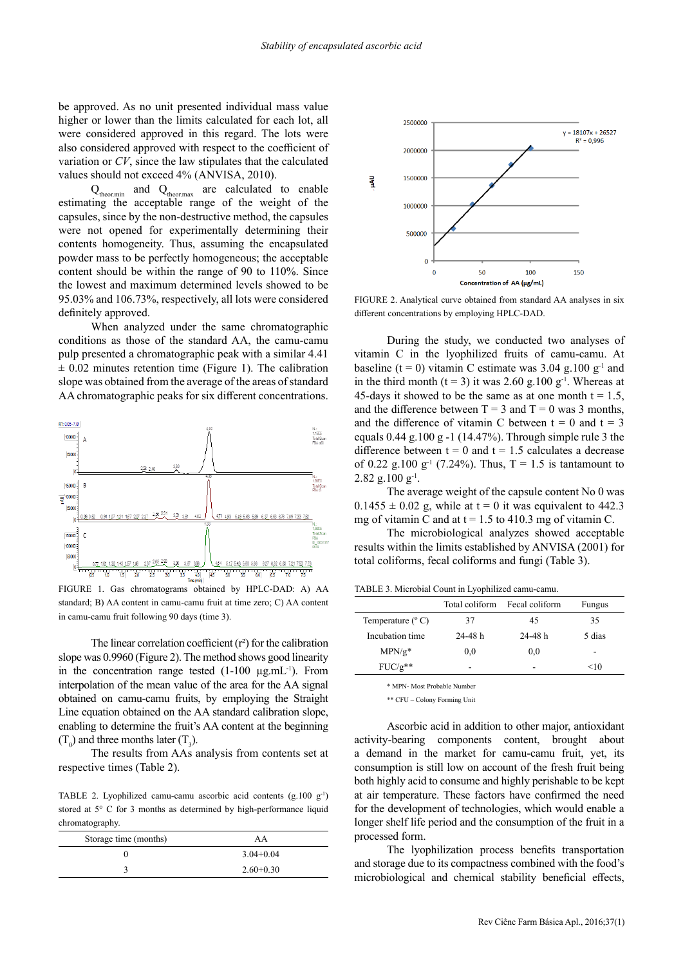be approved. As no unit presented individual mass value higher or lower than the limits calculated for each lot, all were considered approved in this regard. The lots were also considered approved with respect to the coefficient of variation or *CV*, since the law stipulates that the calculated values should not exceed 4% (ANVISA, 2010).

 $Q_{\text{theor,min}}$  and  $Q_{\text{theor,max}}$  are calculated to enable estimating the acceptable range of the weight of the capsules, since by the non-destructive method, the capsules were not opened for experimentally determining their contents homogeneity. Thus, assuming the encapsulated powder mass to be perfectly homogeneous; the acceptable content should be within the range of 90 to 110%. Since the lowest and maximum determined levels showed to be 95.03% and 106.73%, respectively, all lots were considered definitely approved.

When analyzed under the same chromatographic conditions as those of the standard AA, the camu-camu pulp presented a chromatographic peak with a similar 4.41  $\pm$  0.02 minutes retention time (Figure 1). The calibration slope was obtained from the average of the areas of standard AA chromatographic peaks for six different concentrations.



FIGURE 1. Gas chromatograms obtained by HPLC-DAD: A) AA standard; B) AA content in camu-camu fruit at time zero; C) AA content in camu-camu fruit following 90 days (time 3).

The linear correlation coefficient  $(r^2)$  for the calibration slope was 0.9960 (Figure 2). The method shows good linearity in the concentration range tested  $(1-100 \mu g.mL^{-1})$ . From interpolation of the mean value of the area for the AA signal obtained on camu-camu fruits, by employing the Straight Line equation obtained on the AA standard calibration slope, enabling to determine the fruit's AA content at the beginning  $(T_0)$  and three months later  $(T_3)$ .

The results from AAs analysis from contents set at respective times (Table 2).

TABLE 2. Lyophilized camu-camu ascorbic acid contents (g.100 g-1) stored at 5° C for 3 months as determined by high-performance liquid chromatography.

| Storage time (months) | AA            |  |  |
|-----------------------|---------------|--|--|
|                       | $3.04 + 0.04$ |  |  |
|                       | $2.60+0.30$   |  |  |



FIGURE 2. Analytical curve obtained from standard AA analyses in six different concentrations by employing HPLC-DAD.

During the study, we conducted two analyses of vitamin C in the lyophilized fruits of camu-camu. At baseline (t = 0) vitamin C estimate was  $3.04$  g.100 g<sup>-1</sup> and in the third month (t = 3) it was 2.60 g.100 g<sup>-1</sup>. Whereas at 45-days it showed to be the same as at one month  $t = 1.5$ , and the difference between  $T = 3$  and  $T = 0$  was 3 months, and the difference of vitamin C between  $t = 0$  and  $t = 3$ equals  $0.44$  g.100 g -1 (14.47%). Through simple rule 3 the difference between  $t = 0$  and  $t = 1.5$  calculates a decrease of 0.22 g.100 g<sup>-1</sup> (7.24%). Thus, T = 1.5 is tantamount to  $2.82$  g.100 g<sup>-1</sup>.

The average weight of the capsule content No 0 was  $0.1455 \pm 0.02$  g, while at t = 0 it was equivalent to 442.3 mg of vitamin C and at  $t = 1.5$  to 410.3 mg of vitamin C.

The microbiological analyzes showed acceptable results within the limits established by ANVISA (2001) for total coliforms, fecal coliforms and fungi (Table 3).

TABLE 3. Microbial Count in Lyophilized camu-camu.

|                            | Total coliform | Fecal coliform | Fungus |
|----------------------------|----------------|----------------|--------|
| Temperature $(^{\circ}$ C) | 37             | 45             | 35     |
| Incubation time            | $24-48h$       | $24 - 48$ h    | 5 dias |
| $MPN/g*$                   | 0,0            | 0.0            |        |
| $FUC/g**$                  |                | ۰              | $<$ 10 |

\* MPN- Most Probable Number

\*\* CFU – Colony Forming Unit

Ascorbic acid in addition to other major, antioxidant activity-bearing components content, brought about a demand in the market for camu-camu fruit, yet, its consumption is still low on account of the fresh fruit being both highly acid to consume and highly perishable to be kept at air temperature. These factors have confirmed the need for the development of technologies, which would enable a longer shelf life period and the consumption of the fruit in a processed form.

The lyophilization process benefits transportation and storage due to its compactness combined with the food's microbiological and chemical stability beneficial effects,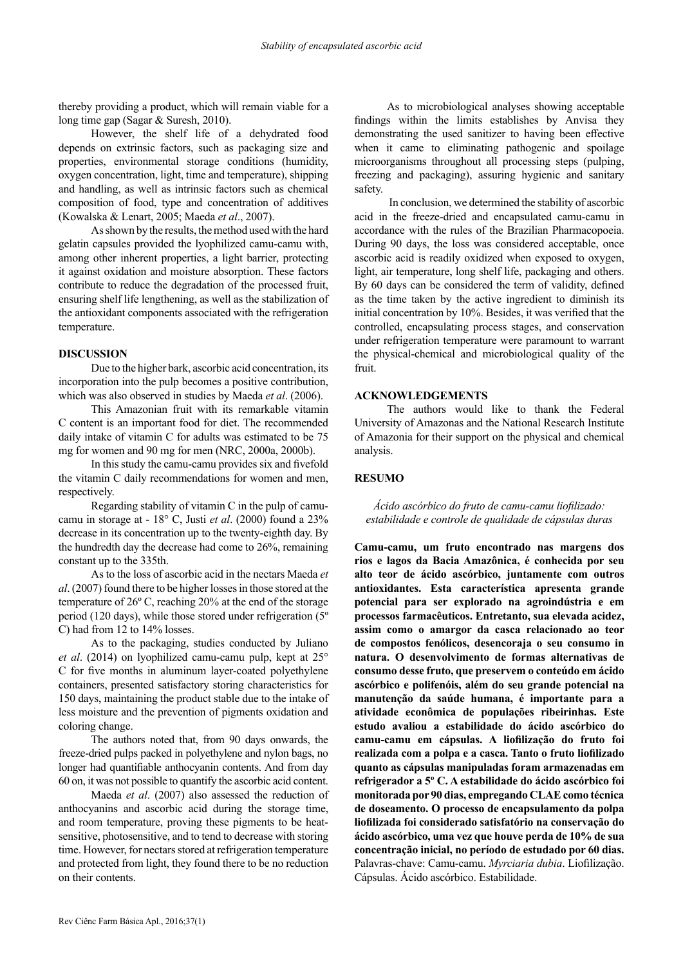thereby providing a product, which will remain viable for a long time gap (Sagar & Suresh, 2010).

However, the shelf life of a dehydrated food depends on extrinsic factors, such as packaging size and properties, environmental storage conditions (humidity, oxygen concentration, light, time and temperature), shipping and handling, as well as intrinsic factors such as chemical composition of food, type and concentration of additives (Kowalska & Lenart, 2005; Maeda *et al*., 2007).

As shown by the results, the method used with the hard gelatin capsules provided the lyophilized camu-camu with, among other inherent properties, a light barrier, protecting it against oxidation and moisture absorption. These factors contribute to reduce the degradation of the processed fruit, ensuring shelf life lengthening, as well as the stabilization of the antioxidant components associated with the refrigeration temperature.

## **DISCUSSION**

Due to the higher bark, ascorbic acid concentration, its incorporation into the pulp becomes a positive contribution, which was also observed in studies by Maeda *et al*. (2006).

This Amazonian fruit with its remarkable vitamin C content is an important food for diet. The recommended daily intake of vitamin C for adults was estimated to be 75 mg for women and 90 mg for men (NRC, 2000a, 2000b).

In this study the camu-camu provides six and fivefold the vitamin C daily recommendations for women and men, respectively.

Regarding stability of vitamin C in the pulp of camucamu in storage at - 18° C, Justi *et al*. (2000) found a 23% decrease in its concentration up to the twenty-eighth day. By the hundredth day the decrease had come to 26%, remaining constant up to the 335th.

As to the loss of ascorbic acid in the nectars Maeda *et al*. (2007) found there to be higher losses in those stored at the temperature of 26º C, reaching 20% at the end of the storage period (120 days), while those stored under refrigeration (5º C) had from 12 to 14% losses.

As to the packaging, studies conducted by Juliano *et al*. (2014) on lyophilized camu-camu pulp, kept at 25° C for five months in aluminum layer-coated polyethylene containers, presented satisfactory storing characteristics for 150 days, maintaining the product stable due to the intake of less moisture and the prevention of pigments oxidation and coloring change.

The authors noted that, from 90 days onwards, the freeze-dried pulps packed in polyethylene and nylon bags, no longer had quantifiable anthocyanin contents. And from day 60 on, it was not possible to quantify the ascorbic acid content.

Maeda *et al*. (2007) also assessed the reduction of anthocyanins and ascorbic acid during the storage time, and room temperature, proving these pigments to be heatsensitive, photosensitive, and to tend to decrease with storing time. However, for nectars stored at refrigeration temperature and protected from light, they found there to be no reduction on their contents.

As to microbiological analyses showing acceptable findings within the limits establishes by Anvisa they demonstrating the used sanitizer to having been effective when it came to eliminating pathogenic and spoilage microorganisms throughout all processing steps (pulping, freezing and packaging), assuring hygienic and sanitary safety.

 In conclusion, we determined the stability of ascorbic acid in the freeze-dried and encapsulated camu-camu in accordance with the rules of the Brazilian Pharmacopoeia. During 90 days, the loss was considered acceptable, once ascorbic acid is readily oxidized when exposed to oxygen, light, air temperature, long shelf life, packaging and others. By 60 days can be considered the term of validity, defined as the time taken by the active ingredient to diminish its initial concentration by 10%. Besides, it was verified that the controlled, encapsulating process stages, and conservation under refrigeration temperature were paramount to warrant the physical-chemical and microbiological quality of the fruit.

## **ACKNOWLEDGEMENTS**

The authors would like to thank the Federal University of Amazonas and the National Research Institute of Amazonia for their support on the physical and chemical analysis.

# **RESUMO**

## *Ácido ascórbico do fruto de camu-camu liofilizado: estabilidade e controle de qualidade de cápsulas duras*

**Camu-camu, um fruto encontrado nas margens dos rios e lagos da Bacia Amazônica, é conhecida por seu alto teor de ácido ascórbico, juntamente com outros antioxidantes. Esta característica apresenta grande potencial para ser explorado na agroindústria e em processos farmacêuticos. Entretanto, sua elevada acidez, assim como o amargor da casca relacionado ao teor de compostos fenólicos, desencoraja o seu consumo in natura. O desenvolvimento de formas alternativas de consumo desse fruto, que preservem o conteúdo em ácido ascórbico e polifenóis, além do seu grande potencial na manutenção da saúde humana, é importante para a atividade econômica de populações ribeirinhas. Este estudo avaliou a estabilidade do ácido ascórbico do camu-camu em cápsulas. A liofilização do fruto foi realizada com a polpa e a casca. Tanto o fruto liofilizado quanto as cápsulas manipuladas foram armazenadas em refrigerador a 5º C. A estabilidade do ácido ascórbico foi monitorada por 90 dias, empregando CLAE como técnica de doseamento. O processo de encapsulamento da polpa liofilizada foi considerado satisfatório na conservação do ácido ascórbico, uma vez que houve perda de 10% de sua concentração inicial, no período de estudado por 60 dias.** Palavras-chave: Camu-camu. *Myrciaria dubia*. Liofilização. Cápsulas. Ácido ascórbico. Estabilidade.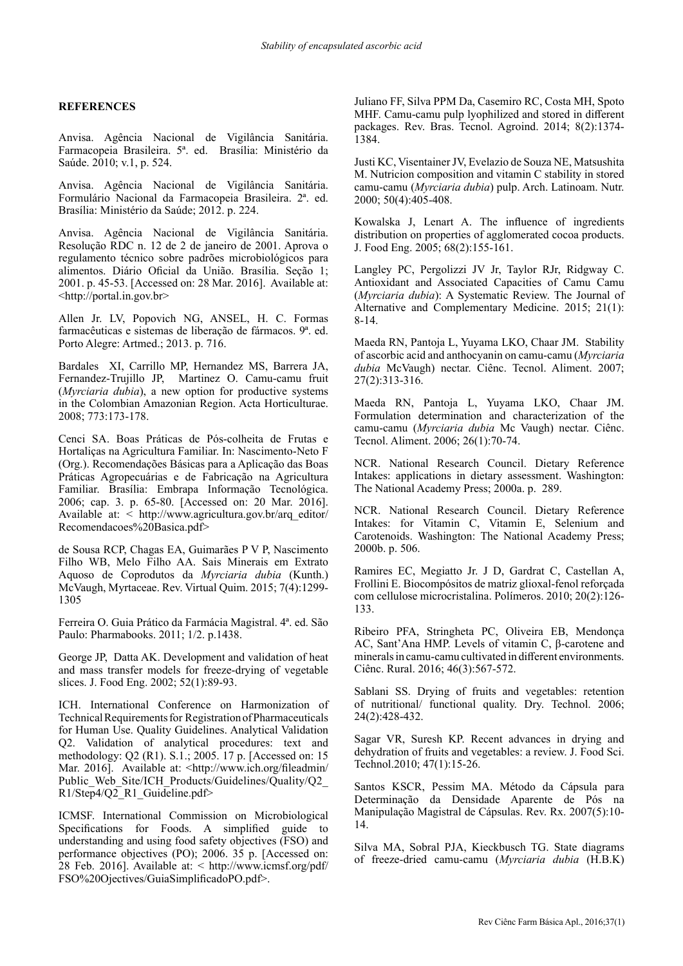# **REFERENCES**

Anvisa. Agência Nacional de Vigilância Sanitária. Farmacopeia Brasileira. 5ª. ed. Brasília: Ministério da Saúde. 2010; v.1, p. 524.

Anvisa. Agência Nacional de Vigilância Sanitária. Formulário Nacional da Farmacopeia Brasileira. 2ª. ed. Brasília: Ministério da Saúde; 2012. p. 224.

Anvisa. Agência Nacional de Vigilância Sanitária. Resolução RDC n. 12 de 2 de janeiro de 2001. Aprova o regulamento técnico sobre padrões microbiológicos para alimentos. Diário Oficial da União. Brasília. Seção 1; 2001. p. 45-53. [Accessed on: 28 Mar. 2016]. Available at: <http://portal.in.gov.br>

Allen Jr. LV, Popovich NG, ANSEL, H. C. Formas farmacêuticas e sistemas de liberação de fármacos. 9ª. ed. Porto Alegre: Artmed.; 2013. p. 716.

Bardales XI, Carrillo MP, Hernandez MS, Barrera JA, Fernandez-Trujillo JP, Martinez O. Camu-camu fruit (*Myrciaria dubia*), a new option for productive systems in the Colombian Amazonian Region. Acta Horticulturae. 2008; 773:173-178.

Cenci SA. Boas Práticas de Pós-colheita de Frutas e Hortaliças na Agricultura Familiar. In: Nascimento-Neto F (Org.). Recomendações Básicas para a Aplicação das Boas Práticas Agropecuárias e de Fabricação na Agricultura Familiar. Brasília: Embrapa Informação Tecnológica. 2006; cap. 3. p. 65-80. [Accessed on: 20 Mar. 2016]. Available at: < http://www.agricultura.gov.br/arq\_editor/ Recomendacoes%20Basica.pdf>

de Sousa RCP, Chagas EA, Guimarães P V P, Nascimento Filho WB, Melo Filho AA. Sais Minerais em Extrato Aquoso de Coprodutos da *Myrciaria dubia* (Kunth.) McVaugh, Myrtaceae. Rev. Virtual Quim. 2015; 7(4):1299- 1305

Ferreira O. Guia Prático da Farmácia Magistral. 4ª. ed. São Paulo: Pharmabooks. 2011; 1/2. p.1438.

George JP, Datta AK. Development and validation of heat and mass transfer models for freeze-drying of vegetable slices. J. Food Eng. 2002; 52(1):89-93.

ICH. International Conference on Harmonization of Technical Requirements for Registration of Pharmaceuticals for Human Use. Quality Guidelines. Analytical Validation Q2. Validation of analytical procedures: text and methodology: Q2 (R1). S.1.; 2005. 17 p. [Accessed on: 15 Mar. 2016]. Available at: <http://www.ich.org/fileadmin/ Public\_Web\_Site/ICH\_Products/Guidelines/Quality/Q2 R1/Step4/Q2\_R1\_Guideline.pdf>

ICMSF. International Commission on Microbiological Specifications for Foods. A simplified guide to understanding and using food safety objectives (FSO) and performance objectives (PO); 2006. 35 p. [Accessed on: 28 Feb. 2016]. Available at: < http://www.icmsf.org/pdf/ FSO%20Ojectives/GuiaSimplificadoPO.pdf>.

Juliano FF, Silva PPM Da, Casemiro RC, Costa MH, Spoto MHF. Camu-camu pulp lyophilized and stored in different packages. Rev. Bras. Tecnol. Agroind. 2014; 8(2):1374- 1384.

Justi KC, Visentainer JV, Evelazio de Souza NE, Matsushita M. Nutricion composition and vitamin C stability in stored camu-camu (*Myrciaria dubia*) pulp. Arch. Latinoam. Nutr. 2000; 50(4):405-408.

Kowalska J, Lenart A. The influence of ingredients distribution on properties of agglomerated cocoa products. J. Food Eng. 2005; 68(2):155-161.

Langley PC, Pergolizzi JV Jr, Taylor RJr, Ridgway C. Antioxidant and Associated Capacities of Camu Camu (*Myrciaria dubia*): A Systematic Review. The Journal of Alternative and Complementary Medicine. 2015; 21(1): 8-14.

Maeda RN, Pantoja L, Yuyama LKO, Chaar JM. Stability of ascorbic acid and anthocyanin on camu-camu (*Myrciaria dubia* McVaugh) nectar. Ciênc. Tecnol. Aliment. 2007; 27(2):313-316.

Maeda RN, Pantoja L, Yuyama LKO, Chaar JM. Formulation determination and characterization of the camu-camu (*Myrciaria dubia* Mc Vaugh) nectar. Ciênc. Tecnol. Aliment. 2006; 26(1):70-74.

NCR. National Research Council. Dietary Reference Intakes: applications in dietary assessment. Washington: The National Academy Press; 2000a. p. 289.

NCR. National Research Council. Dietary Reference Intakes: for Vitamin C, Vitamin E, Selenium and Carotenoids. Washington: The National Academy Press; 2000b. p. 506.

Ramires EC, Megiatto Jr. J D, Gardrat C, Castellan A, Frollini E. Biocompósitos de matriz glioxal-fenol reforçada com cellulose microcristalina. Polímeros. 2010; 20(2):126- 133.

Ribeiro PFA, Stringheta PC, Oliveira EB, Mendonça AC, Sant'Ana HMP. Levels of vitamin C, β-carotene and minerals in camu-camu cultivated in different environments. Ciênc. Rural. 2016; 46(3):567-572.

Sablani SS. Drying of fruits and vegetables: retention of nutritional/ functional quality. Dry. Technol. 2006; 24(2):428-432.

Sagar VR, Suresh KP. Recent advances in drying and dehydration of fruits and vegetables: a review. J. Food Sci. Technol.2010; 47(1):15-26.

Santos KSCR, Pessim MA. Método da Cápsula para Determinação da Densidade Aparente de Pós na Manipulação Magistral de Cápsulas. Rev. Rx. 2007(5):10- 14.

Silva MA, Sobral PJA, Kieckbusch TG. State diagrams of freeze-dried camu-camu (*Myrciaria dubia* (H.B.K)